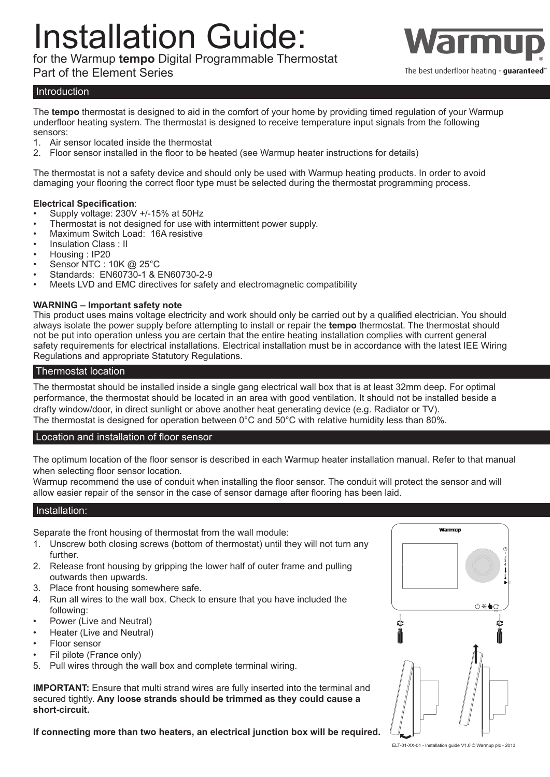# Installation Guide:

for the Warmup **tempo** Digital Programmable Thermostat

### Part of the Element Series



The best underfloor heating - quaranteed'

#### **Introduction**

The **tempo** thermostat is designed to aid in the comfort of your home by providing timed regulation of your Warmup underfloor heating system. The thermostat is designed to receive temperature input signals from the following sensors:

- 1. Air sensor located inside the thermostat<br>2. Floor sensor installed in the floor to be h
- 2. Floor sensor installed in the floor to be heated (see Warmup heater instructions for details)

The thermostat is not a safety device and should only be used with Warmup heating products. In order to avoid damaging your flooring the correct floor type must be selected during the thermostat programming process.

#### **Electrical Specification**:

- Supply voltage: 230V +/-15% at 50Hz
- Thermostat is not designed for use with intermittent power supply.
- Maximum Switch Load: 16A resistive
- Insulation Class : II
- Housing : IP20
- Sensor NTC : 10K @ 25°C
- Standards: EN60730-1 & EN60730-2-9
- Meets LVD and EMC directives for safety and electromagnetic compatibility

#### **WARNING – Important safety note**

This product uses mains voltage electricity and work should only be carried out by a qualified electrician. You should always isolate the power supply before attempting to install or repair the **tempo** thermostat. The thermostat should not be put into operation unless you are certain that the entire heating installation complies with current general safety requirements for electrical installations. Electrical installation must be in accordance with the latest IEE Wiring Regulations and appropriate Statutory Regulations.

#### Thermostat location

The thermostat should be installed inside a single gang electrical wall box that is at least 32mm deep. For optimal performance, the thermostat should be located in an area with good ventilation. It should not be installed beside a drafty window/door, in direct sunlight or above another heat generating device (e.g. Radiator or TV). The thermostat is designed for operation between 0°C and 50°C with relative humidity less than 80%.

#### Location and installation of floor sensor

The optimum location of the floor sensor is described in each Warmup heater installation manual. Refer to that manual when selecting floor sensor location.

Warmup recommend the use of conduit when installing the floor sensor. The conduit will protect the sensor and will allow easier repair of the sensor in the case of sensor damage after flooring has been laid.

#### Installation:

Separate the front housing of thermostat from the wall module:

- 1. Unscrew both closing screws (bottom of thermostat) until they will not turn any further.
- 2. Release front housing by gripping the lower half of outer frame and pulling outwards then upwards.
- 3. Place front housing somewhere safe.
- 4. Run all wires to the wall box. Check to ensure that you have included the following:
- Power (Live and Neutral)
- Heater (Live and Neutral)
- Floor sensor
- Fil pilote (France only)
- 5. Pull wires through the wall box and complete terminal wiring.

**IMPORTANT:** Ensure that multi strand wires are fully inserted into the terminal and secured tightly. **Any loose strands should be trimmed as they could cause a short-circuit.**

**If connecting more than two heaters, an electrical junction box will be required.**